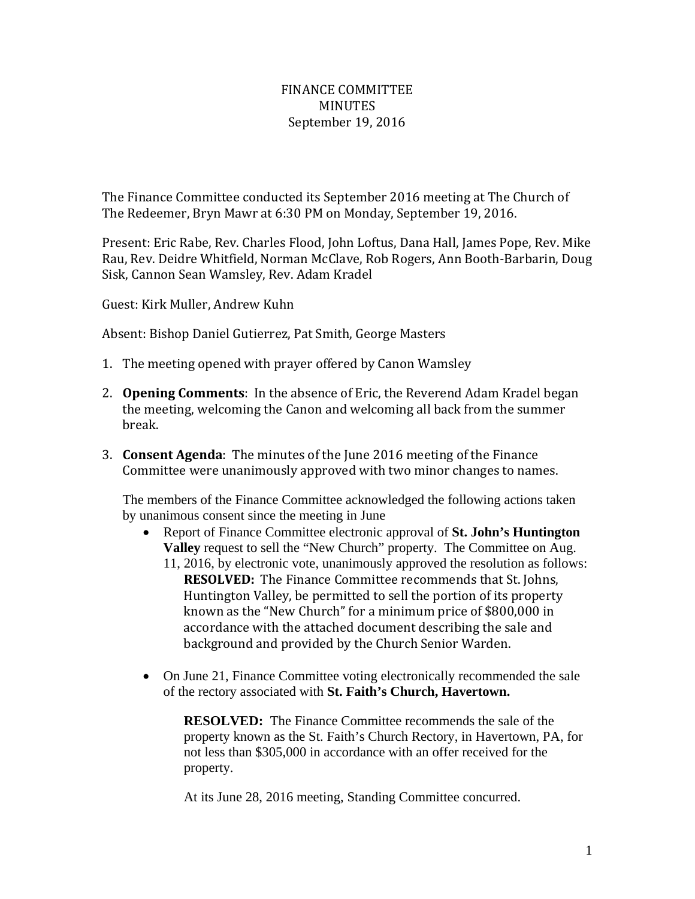## FINANCE COMMITTEE **MINUTES** September 19, 2016

The Finance Committee conducted its September 2016 meeting at The Church of The Redeemer, Bryn Mawr at 6:30 PM on Monday, September 19, 2016.

Present: Eric Rabe, Rev. Charles Flood, John Loftus, Dana Hall, James Pope, Rev. Mike Rau, Rev. Deidre Whitfield, Norman McClave, Rob Rogers, Ann Booth-Barbarin, Doug Sisk, Cannon Sean Wamsley, Rev. Adam Kradel

Guest: Kirk Muller, Andrew Kuhn

Absent: Bishop Daniel Gutierrez, Pat Smith, George Masters

- 1. The meeting opened with prayer offered by Canon Wamsley
- 2. **Opening Comments**: In the absence of Eric, the Reverend Adam Kradel began the meeting, welcoming the Canon and welcoming all back from the summer break.
- 3. **Consent Agenda**: The minutes of the June 2016 meeting of the Finance Committee were unanimously approved with two minor changes to names.

The members of the Finance Committee acknowledged the following actions taken by unanimous consent since the meeting in June

- Report of Finance Committee electronic approval of **St. John's Huntington Valley** request to sell the "New Church" property. The Committee on Aug.
	- 11, 2016, by electronic vote, unanimously approved the resolution as follows: **RESOLVED:** The Finance Committee recommends that St. Johns, Huntington Valley, be permitted to sell the portion of its property known as the "New Church" for a minimum price of \$800,000 in accordance with the attached document describing the sale and background and provided by the Church Senior Warden.
- On June 21, Finance Committee voting electronically recommended the sale of the rectory associated with **St. Faith's Church, Havertown.**

**RESOLVED:** The Finance Committee recommends the sale of the property known as the St. Faith's Church Rectory, in Havertown, PA, for not less than \$305,000 in accordance with an offer received for the property.

At its June 28, 2016 meeting, Standing Committee concurred.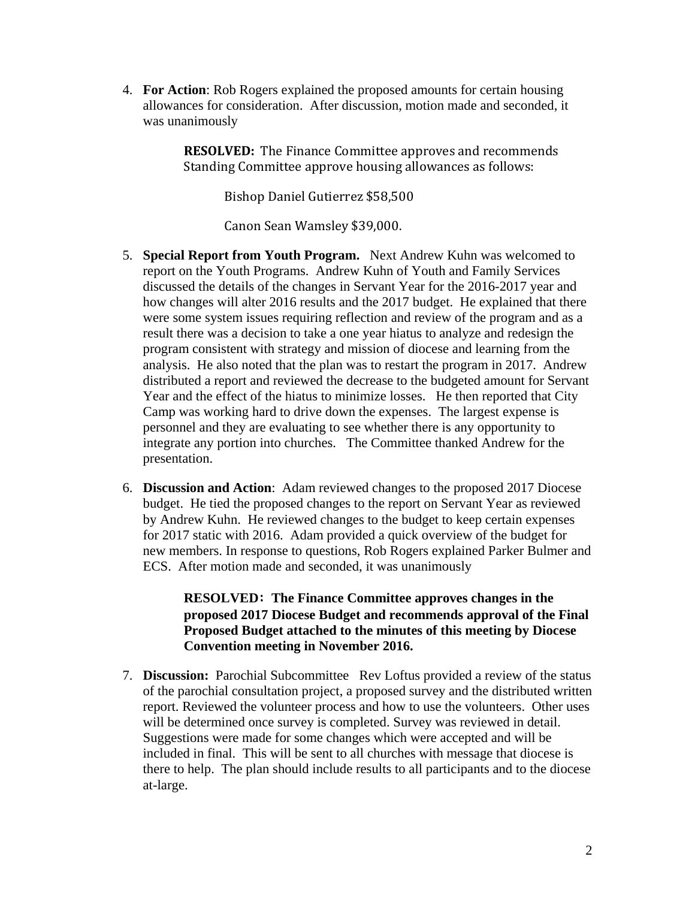4. **For Action**: Rob Rogers explained the proposed amounts for certain housing allowances for consideration. After discussion, motion made and seconded, it was unanimously

> **RESOLVED:** The Finance Committee approves and recommends Standing Committee approve housing allowances as follows:

> > Bishop Daniel Gutierrez \$58,500

Canon Sean Wamsley \$39,000.

- 5. **Special Report from Youth Program.** Next Andrew Kuhn was welcomed to report on the Youth Programs. Andrew Kuhn of Youth and Family Services discussed the details of the changes in Servant Year for the 2016-2017 year and how changes will alter 2016 results and the 2017 budget. He explained that there were some system issues requiring reflection and review of the program and as a result there was a decision to take a one year hiatus to analyze and redesign the program consistent with strategy and mission of diocese and learning from the analysis. He also noted that the plan was to restart the program in 2017. Andrew distributed a report and reviewed the decrease to the budgeted amount for Servant Year and the effect of the hiatus to minimize losses. He then reported that City Camp was working hard to drive down the expenses. The largest expense is personnel and they are evaluating to see whether there is any opportunity to integrate any portion into churches. The Committee thanked Andrew for the presentation.
- 6. **Discussion and Action**: Adam reviewed changes to the proposed 2017 Diocese budget. He tied the proposed changes to the report on Servant Year as reviewed by Andrew Kuhn. He reviewed changes to the budget to keep certain expenses for 2017 static with 2016. Adam provided a quick overview of the budget for new members. In response to questions, Rob Rogers explained Parker Bulmer and ECS. After motion made and seconded, it was unanimously

## **RESOLVED: The Finance Committee approves changes in the proposed 2017 Diocese Budget and recommends approval of the Final Proposed Budget attached to the minutes of this meeting by Diocese Convention meeting in November 2016.**

7. **Discussion:** Parochial Subcommittee Rev Loftus provided a review of the status of the parochial consultation project, a proposed survey and the distributed written report. Reviewed the volunteer process and how to use the volunteers. Other uses will be determined once survey is completed. Survey was reviewed in detail. Suggestions were made for some changes which were accepted and will be included in final. This will be sent to all churches with message that diocese is there to help. The plan should include results to all participants and to the diocese at-large.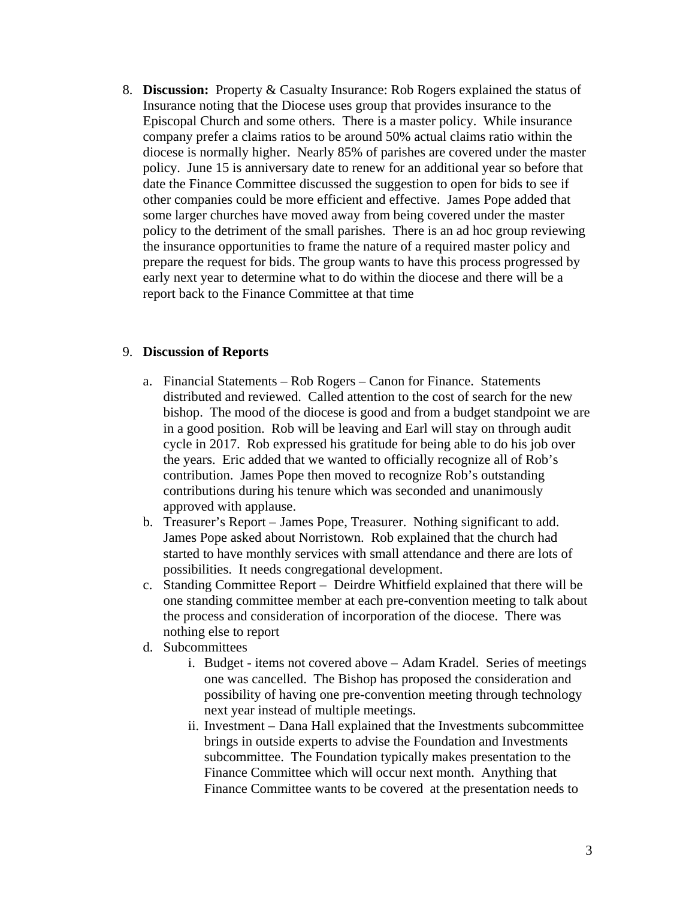8. **Discussion:** Property & Casualty Insurance: Rob Rogers explained the status of Insurance noting that the Diocese uses group that provides insurance to the Episcopal Church and some others. There is a master policy. While insurance company prefer a claims ratios to be around 50% actual claims ratio within the diocese is normally higher. Nearly 85% of parishes are covered under the master policy. June 15 is anniversary date to renew for an additional year so before that date the Finance Committee discussed the suggestion to open for bids to see if other companies could be more efficient and effective. James Pope added that some larger churches have moved away from being covered under the master policy to the detriment of the small parishes. There is an ad hoc group reviewing the insurance opportunities to frame the nature of a required master policy and prepare the request for bids. The group wants to have this process progressed by early next year to determine what to do within the diocese and there will be a report back to the Finance Committee at that time

## 9. **Discussion of Reports**

- a. Financial Statements Rob Rogers Canon for Finance. Statements distributed and reviewed. Called attention to the cost of search for the new bishop. The mood of the diocese is good and from a budget standpoint we are in a good position. Rob will be leaving and Earl will stay on through audit cycle in 2017. Rob expressed his gratitude for being able to do his job over the years. Eric added that we wanted to officially recognize all of Rob's contribution. James Pope then moved to recognize Rob's outstanding contributions during his tenure which was seconded and unanimously approved with applause.
- b. Treasurer's Report James Pope, Treasurer. Nothing significant to add. James Pope asked about Norristown. Rob explained that the church had started to have monthly services with small attendance and there are lots of possibilities. It needs congregational development.
- c. Standing Committee Report Deirdre Whitfield explained that there will be one standing committee member at each pre-convention meeting to talk about the process and consideration of incorporation of the diocese. There was nothing else to report
- d. Subcommittees
	- i. Budget items not covered above Adam Kradel. Series of meetings one was cancelled. The Bishop has proposed the consideration and possibility of having one pre-convention meeting through technology next year instead of multiple meetings.
	- ii. Investment Dana Hall explained that the Investments subcommittee brings in outside experts to advise the Foundation and Investments subcommittee. The Foundation typically makes presentation to the Finance Committee which will occur next month. Anything that Finance Committee wants to be covered at the presentation needs to